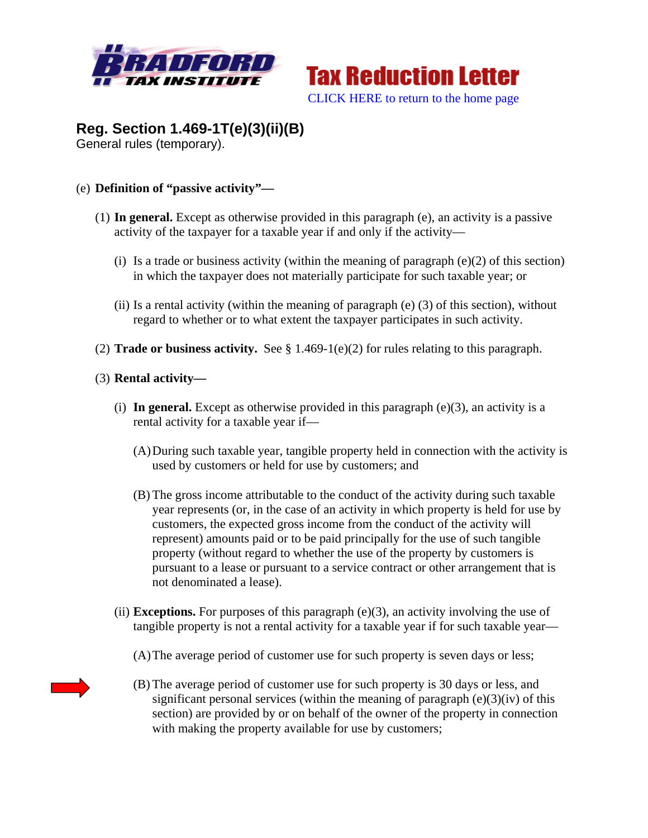



# **Reg. Section 1.469-1T(e)(3)(ii)(B)**

General rules (temporary).

## (e) **Definition of "passive activity"—**

- (1) **In general.** Except as otherwise provided in this paragraph (e), an activity is a passive activity of the taxpayer for a taxable year if and only if the activity—
	- (i) Is a trade or business activity (within the meaning of paragraph  $(e)(2)$  of this section) in which the taxpayer does not materially participate for such taxable year; or
	- (ii) Is a rental activity (within the meaning of paragraph  $(e)$  (3) of this section), without regard to whether or to what extent the taxpayer participates in such activity.
- (2) **Trade or business activity.** See § 1.469-1(e)(2) for rules relating to this paragraph.
- (3) **Rental activity—**
	- (i) In general. Except as otherwise provided in this paragraph  $(e)(3)$ , an activity is a rental activity for a taxable year if—
		- (A)During such taxable year, tangible property held in connection with the activity is used by customers or held for use by customers; and
		- (B) The gross income attributable to the conduct of the activity during such taxable year represents (or, in the case of an activity in which property is held for use by customers, the expected gross income from the conduct of the activity will represent) amounts paid or to be paid principally for the use of such tangible property (without regard to whether the use of the property by customers is pursuant to a lease or pursuant to a service contract or other arrangement that is not denominated a lease).
	- (ii) **Exceptions.** For purposes of this paragraph  $(e)(3)$ , an activity involving the use of tangible property is not a rental activity for a taxable year if for such taxable year—
		- (A)The average period of customer use for such property is seven days or less;
		- (B) The average period of customer use for such property is 30 days or less, and significant personal services (within the meaning of paragraph  $(e)(3)(iv)$  of this section) are provided by or on behalf of the owner of the property in connection with making the property available for use by customers;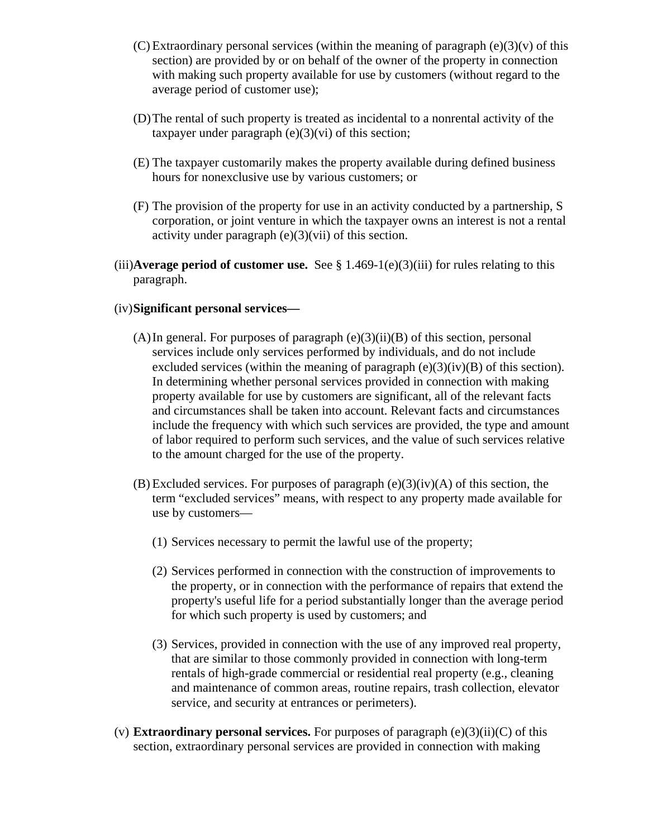- (C) Extraordinary personal services (within the meaning of paragraph  $(e)(3)(v)$  of this section) are provided by or on behalf of the owner of the property in connection with making such property available for use by customers (without regard to the average period of customer use);
- (D)The rental of such property is treated as incidental to a nonrental activity of the taxpayer under paragraph  $(e)(3)(vi)$  of this section;
- (E) The taxpayer customarily makes the property available during defined business hours for nonexclusive use by various customers; or
- (F) The provision of the property for use in an activity conducted by a partnership, S corporation, or joint venture in which the taxpayer owns an interest is not a rental activity under paragraph  $(e)(3)(vi)$  of this section.
- (iii)**Average period of customer use.** See § 1.469-1(e)(3)(iii) for rules relating to this paragraph.

#### (iv)**Significant personal services—**

- (A) In general. For purposes of paragraph  $(e)(3)(ii)(B)$  of this section, personal services include only services performed by individuals, and do not include excluded services (within the meaning of paragraph  $(e)(3)(iv)(B)$  of this section). In determining whether personal services provided in connection with making property available for use by customers are significant, all of the relevant facts and circumstances shall be taken into account. Relevant facts and circumstances include the frequency with which such services are provided, the type and amount of labor required to perform such services, and the value of such services relative to the amount charged for the use of the property.
- $(B)$  Excluded services. For purposes of paragraph  $(e)(3)(iv)(A)$  of this section, the term "excluded services" means, with respect to any property made available for use by customers—
	- (1) Services necessary to permit the lawful use of the property;
	- (2) Services performed in connection with the construction of improvements to the property, or in connection with the performance of repairs that extend the property's useful life for a period substantially longer than the average period for which such property is used by customers; and
	- (3) Services, provided in connection with the use of any improved real property, that are similar to those commonly provided in connection with long-term rentals of high-grade commercial or residential real property (e.g., cleaning and maintenance of common areas, routine repairs, trash collection, elevator service, and security at entrances or perimeters).
- (v) **Extraordinary personal services.** For purposes of paragraph  $(e)(3)(ii)(C)$  of this section, extraordinary personal services are provided in connection with making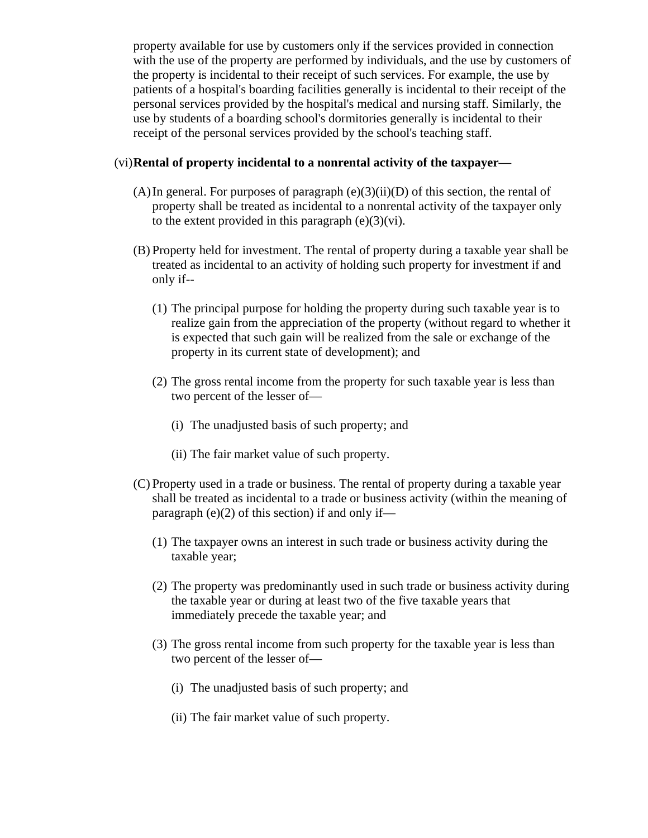property available for use by customers only if the services provided in connection with the use of the property are performed by individuals, and the use by customers of the property is incidental to their receipt of such services. For example, the use by patients of a hospital's boarding facilities generally is incidental to their receipt of the personal services provided by the hospital's medical and nursing staff. Similarly, the use by students of a boarding school's dormitories generally is incidental to their receipt of the personal services provided by the school's teaching staff.

#### (vi)**Rental of property incidental to a nonrental activity of the taxpayer—**

- $(A)$ In general. For purposes of paragraph  $(e)(3)(ii)(D)$  of this section, the rental of property shall be treated as incidental to a nonrental activity of the taxpayer only to the extent provided in this paragraph  $(e)(3)(vi)$ .
- (B) Property held for investment. The rental of property during a taxable year shall be treated as incidental to an activity of holding such property for investment if and only if--
	- (1) The principal purpose for holding the property during such taxable year is to realize gain from the appreciation of the property (without regard to whether it is expected that such gain will be realized from the sale or exchange of the property in its current state of development); and
	- (2) The gross rental income from the property for such taxable year is less than two percent of the lesser of—
		- (i) The unadjusted basis of such property; and
		- (ii) The fair market value of such property.
- (C) Property used in a trade or business. The rental of property during a taxable year shall be treated as incidental to a trade or business activity (within the meaning of paragraph  $(e)(2)$  of this section) if and only if—
	- (1) The taxpayer owns an interest in such trade or business activity during the taxable year;
	- (2) The property was predominantly used in such trade or business activity during the taxable year or during at least two of the five taxable years that immediately precede the taxable year; and
	- (3) The gross rental income from such property for the taxable year is less than two percent of the lesser of—
		- (i) The unadjusted basis of such property; and
		- (ii) The fair market value of such property.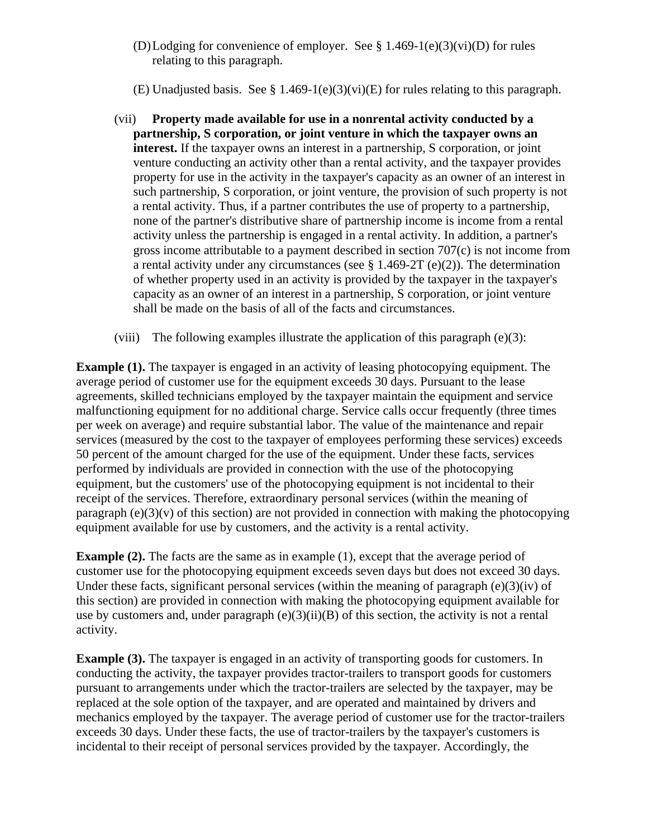(D)Lodging for convenience of employer. See  $\S 1.469-1(e)(3)(vi)(D)$  for rules relating to this paragraph.

(E) Unadjusted basis. See § 1.469-1(e)(3)(vi)(E) for rules relating to this paragraph.

- (vii) **Property made available for use in a nonrental activity conducted by a partnership, S corporation, or joint venture in which the taxpayer owns an interest.** If the taxpayer owns an interest in a partnership, S corporation, or joint venture conducting an activity other than a rental activity, and the taxpayer provides property for use in the activity in the taxpayer's capacity as an owner of an interest in such partnership, S corporation, or joint venture, the provision of such property is not a rental activity. Thus, if a partner contributes the use of property to a partnership, none of the partner's distributive share of partnership income is income from a rental activity unless the partnership is engaged in a rental activity. In addition, a partner's gross income attributable to a payment described in section 707(c) is not income from a rental activity under any circumstances (see  $\S 1.469-2T (e)(2)$ ). The determination of whether property used in an activity is provided by the taxpayer in the taxpayer's capacity as an owner of an interest in a partnership, S corporation, or joint venture shall be made on the basis of all of the facts and circumstances.
- (viii) The following examples illustrate the application of this paragraph  $(e)(3)$ :

**Example (1).** The taxpayer is engaged in an activity of leasing photocopying equipment. The average period of customer use for the equipment exceeds 30 days. Pursuant to the lease agreements, skilled technicians employed by the taxpayer maintain the equipment and service malfunctioning equipment for no additional charge. Service calls occur frequently (three times per week on average) and require substantial labor. The value of the maintenance and repair services (measured by the cost to the taxpayer of employees performing these services) exceeds 50 percent of the amount charged for the use of the equipment. Under these facts, services performed by individuals are provided in connection with the use of the photocopying equipment, but the customers' use of the photocopying equipment is not incidental to their receipt of the services. Therefore, extraordinary personal services (within the meaning of paragraph  $(e)(3)(v)$  of this section) are not provided in connection with making the photocopying equipment available for use by customers, and the activity is a rental activity.

**Example (2).** The facts are the same as in example (1), except that the average period of customer use for the photocopying equipment exceeds seven days but does not exceed 30 days. Under these facts, significant personal services (within the meaning of paragraph (e)(3)(iv) of this section) are provided in connection with making the photocopying equipment available for use by customers and, under paragraph  $(e)(3)(ii)(B)$  of this section, the activity is not a rental activity.

**Example (3).** The taxpayer is engaged in an activity of transporting goods for customers. In conducting the activity, the taxpayer provides tractor-trailers to transport goods for customers pursuant to arrangements under which the tractor-trailers are selected by the taxpayer, may be replaced at the sole option of the taxpayer, and are operated and maintained by drivers and mechanics employed by the taxpayer. The average period of customer use for the tractor-trailers exceeds 30 days. Under these facts, the use of tractor-trailers by the taxpayer's customers is incidental to their receipt of personal services provided by the taxpayer. Accordingly, the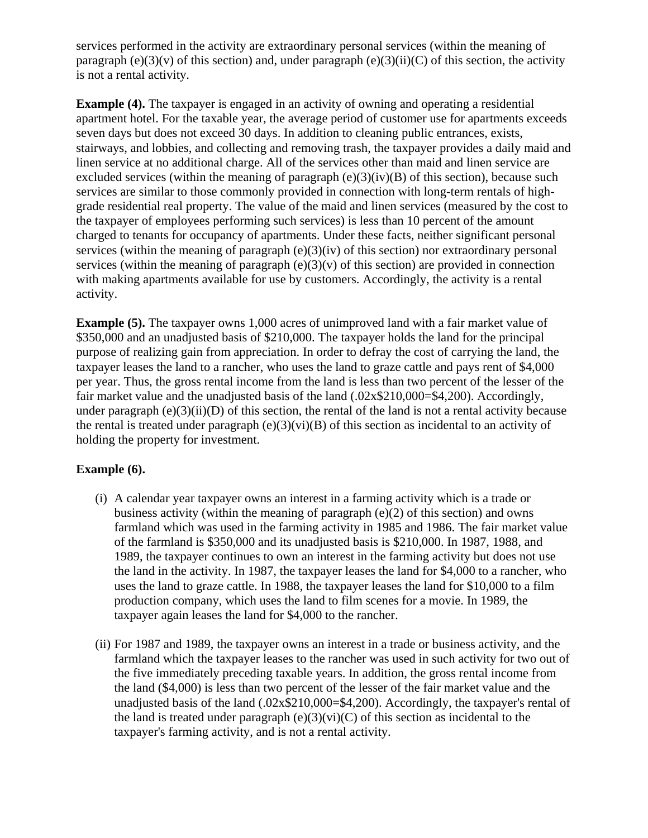services performed in the activity are extraordinary personal services (within the meaning of paragraph (e)(3)(v) of this section) and, under paragraph (e)(3)(ii)(C) of this section, the activity is not a rental activity.

**Example (4).** The taxpayer is engaged in an activity of owning and operating a residential apartment hotel. For the taxable year, the average period of customer use for apartments exceeds seven days but does not exceed 30 days. In addition to cleaning public entrances, exists, stairways, and lobbies, and collecting and removing trash, the taxpayer provides a daily maid and linen service at no additional charge. All of the services other than maid and linen service are excluded services (within the meaning of paragraph  $(e)(3)(iv)(B)$  of this section), because such services are similar to those commonly provided in connection with long-term rentals of highgrade residential real property. The value of the maid and linen services (measured by the cost to the taxpayer of employees performing such services) is less than 10 percent of the amount charged to tenants for occupancy of apartments. Under these facts, neither significant personal services (within the meaning of paragraph (e)(3)(iv) of this section) nor extraordinary personal services (within the meaning of paragraph  $(e)(3)(v)$  of this section) are provided in connection with making apartments available for use by customers. Accordingly, the activity is a rental activity.

**Example (5).** The taxpayer owns 1,000 acres of unimproved land with a fair market value of \$350,000 and an unadjusted basis of \$210,000. The taxpayer holds the land for the principal purpose of realizing gain from appreciation. In order to defray the cost of carrying the land, the taxpayer leases the land to a rancher, who uses the land to graze cattle and pays rent of \$4,000 per year. Thus, the gross rental income from the land is less than two percent of the lesser of the fair market value and the unadjusted basis of the land (.02x\$210,000=\$4,200). Accordingly, under paragraph  $(e)(3)(ii)(D)$  of this section, the rental of the land is not a rental activity because the rental is treated under paragraph  $(e)(3)(vi)(B)$  of this section as incidental to an activity of holding the property for investment.

### **Example (6).**

- (i) A calendar year taxpayer owns an interest in a farming activity which is a trade or business activity (within the meaning of paragraph (e)(2) of this section) and owns farmland which was used in the farming activity in 1985 and 1986. The fair market value of the farmland is \$350,000 and its unadjusted basis is \$210,000. In 1987, 1988, and 1989, the taxpayer continues to own an interest in the farming activity but does not use the land in the activity. In 1987, the taxpayer leases the land for \$4,000 to a rancher, who uses the land to graze cattle. In 1988, the taxpayer leases the land for \$10,000 to a film production company, which uses the land to film scenes for a movie. In 1989, the taxpayer again leases the land for \$4,000 to the rancher.
- (ii) For 1987 and 1989, the taxpayer owns an interest in a trade or business activity, and the farmland which the taxpayer leases to the rancher was used in such activity for two out of the five immediately preceding taxable years. In addition, the gross rental income from the land (\$4,000) is less than two percent of the lesser of the fair market value and the unadjusted basis of the land (.02x\$210,000=\$4,200). Accordingly, the taxpayer's rental of the land is treated under paragraph  $(e)(3)(vi)(C)$  of this section as incidental to the taxpayer's farming activity, and is not a rental activity.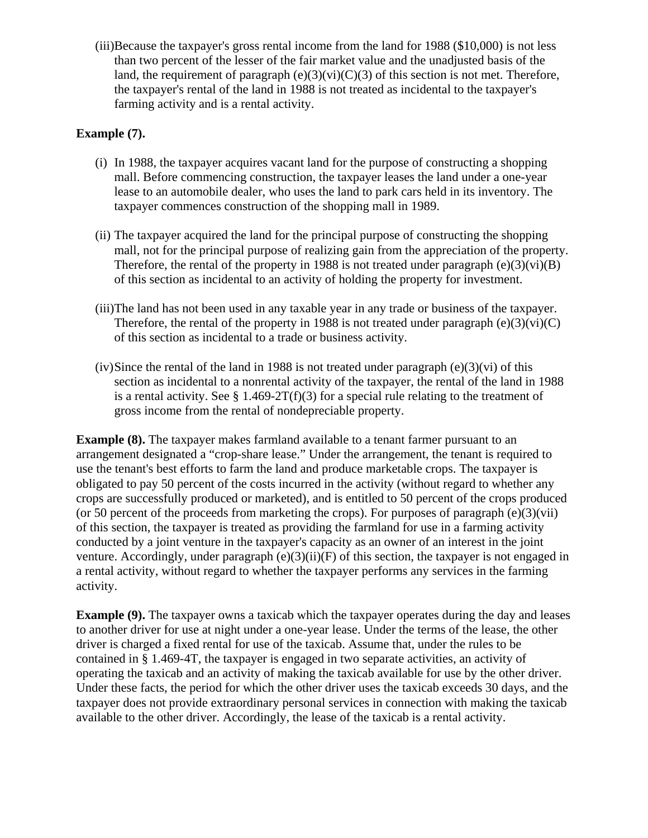(iii)Because the taxpayer's gross rental income from the land for 1988 (\$10,000) is not less than two percent of the lesser of the fair market value and the unadjusted basis of the land, the requirement of paragraph  $(e)(3)(vi)(C)(3)$  of this section is not met. Therefore, the taxpayer's rental of the land in 1988 is not treated as incidental to the taxpayer's farming activity and is a rental activity.

#### **Example (7).**

- (i) In 1988, the taxpayer acquires vacant land for the purpose of constructing a shopping mall. Before commencing construction, the taxpayer leases the land under a one-year lease to an automobile dealer, who uses the land to park cars held in its inventory. The taxpayer commences construction of the shopping mall in 1989.
- (ii) The taxpayer acquired the land for the principal purpose of constructing the shopping mall, not for the principal purpose of realizing gain from the appreciation of the property. Therefore, the rental of the property in 1988 is not treated under paragraph  $(e)(3)(vi)(B)$ of this section as incidental to an activity of holding the property for investment.
- (iii)The land has not been used in any taxable year in any trade or business of the taxpayer. Therefore, the rental of the property in 1988 is not treated under paragraph  $(e)(3)(vi)(C)$ of this section as incidental to a trade or business activity.
- $(iv)$  Since the rental of the land in 1988 is not treated under paragraph  $(e)(3)(vi)$  of this section as incidental to a nonrental activity of the taxpayer, the rental of the land in 1988 is a rental activity. See § 1.469-2T(f)(3) for a special rule relating to the treatment of gross income from the rental of nondepreciable property.

**Example (8).** The taxpayer makes farmland available to a tenant farmer pursuant to an arrangement designated a "crop-share lease." Under the arrangement, the tenant is required to use the tenant's best efforts to farm the land and produce marketable crops. The taxpayer is obligated to pay 50 percent of the costs incurred in the activity (without regard to whether any crops are successfully produced or marketed), and is entitled to 50 percent of the crops produced (or 50 percent of the proceeds from marketing the crops). For purposes of paragraph  $(e)(3)(\n{\text{vii}})$ of this section, the taxpayer is treated as providing the farmland for use in a farming activity conducted by a joint venture in the taxpayer's capacity as an owner of an interest in the joint venture. Accordingly, under paragraph  $(e)(3)(ii)(F)$  of this section, the taxpayer is not engaged in a rental activity, without regard to whether the taxpayer performs any services in the farming activity.

**Example (9).** The taxpayer owns a taxicab which the taxpayer operates during the day and leases to another driver for use at night under a one-year lease. Under the terms of the lease, the other driver is charged a fixed rental for use of the taxicab. Assume that, under the rules to be contained in § 1.469-4T, the taxpayer is engaged in two separate activities, an activity of operating the taxicab and an activity of making the taxicab available for use by the other driver. Under these facts, the period for which the other driver uses the taxicab exceeds 30 days, and the taxpayer does not provide extraordinary personal services in connection with making the taxicab available to the other driver. Accordingly, the lease of the taxicab is a rental activity.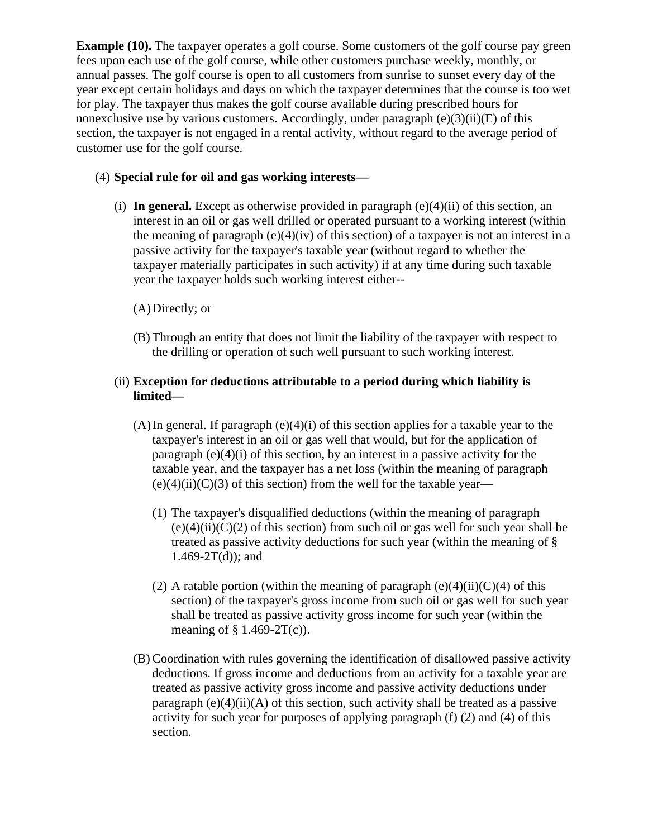**Example (10).** The taxpayer operates a golf course. Some customers of the golf course pay green fees upon each use of the golf course, while other customers purchase weekly, monthly, or annual passes. The golf course is open to all customers from sunrise to sunset every day of the year except certain holidays and days on which the taxpayer determines that the course is too wet for play. The taxpayer thus makes the golf course available during prescribed hours for nonexclusive use by various customers. Accordingly, under paragraph (e)(3)(ii)(E) of this section, the taxpayer is not engaged in a rental activity, without regard to the average period of customer use for the golf course.

## (4) **Special rule for oil and gas working interests—**

(i) In general. Except as otherwise provided in paragraph  $(e)(4)(ii)$  of this section, an interest in an oil or gas well drilled or operated pursuant to a working interest (within the meaning of paragraph (e)(4)(iv) of this section) of a taxpayer is not an interest in a passive activity for the taxpayer's taxable year (without regard to whether the taxpayer materially participates in such activity) if at any time during such taxable year the taxpayer holds such working interest either--

# (A)Directly; or

(B) Through an entity that does not limit the liability of the taxpayer with respect to the drilling or operation of such well pursuant to such working interest.

### (ii) **Exception for deductions attributable to a period during which liability is limited—**

- $(A)$ In general. If paragraph  $(e)(4)(i)$  of this section applies for a taxable year to the taxpayer's interest in an oil or gas well that would, but for the application of paragraph  $(e)(4)(i)$  of this section, by an interest in a passive activity for the taxable year, and the taxpayer has a net loss (within the meaning of paragraph  $(e)(4)(ii)(C)(3)$  of this section) from the well for the taxable year—
	- (1) The taxpayer's disqualified deductions (within the meaning of paragraph  $(e)(4)(ii)(C)(2)$  of this section) from such oil or gas well for such year shall be treated as passive activity deductions for such year (within the meaning of §  $1.469 - 2T(d)$ ; and
	- (2) A ratable portion (within the meaning of paragraph  $(e)(4)(ii)(C)(4)$  of this section) of the taxpayer's gross income from such oil or gas well for such year shall be treated as passive activity gross income for such year (within the meaning of  $\S$  1.469-2T(c)).
- (B) Coordination with rules governing the identification of disallowed passive activity deductions. If gross income and deductions from an activity for a taxable year are treated as passive activity gross income and passive activity deductions under paragraph  $(e)(4)(ii)(A)$  of this section, such activity shall be treated as a passive activity for such year for purposes of applying paragraph (f) (2) and (4) of this section.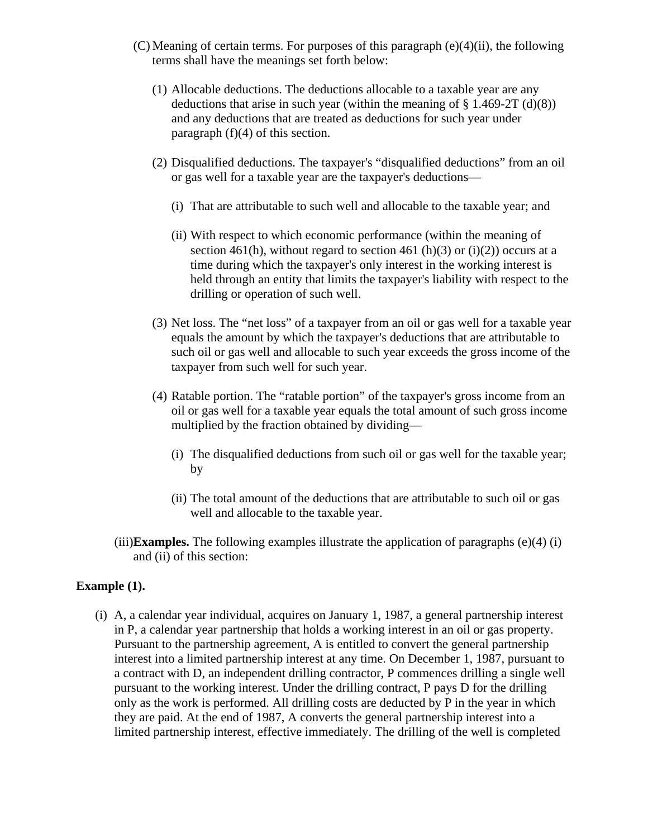- (C) Meaning of certain terms. For purposes of this paragraph (e)(4)(ii), the following terms shall have the meanings set forth below:
	- (1) Allocable deductions. The deductions allocable to a taxable year are any deductions that arise in such year (within the meaning of  $\S$  1.469-2T (d)(8)) and any deductions that are treated as deductions for such year under paragraph  $(f)(4)$  of this section.
	- (2) Disqualified deductions. The taxpayer's "disqualified deductions" from an oil or gas well for a taxable year are the taxpayer's deductions—
		- (i) That are attributable to such well and allocable to the taxable year; and
		- (ii) With respect to which economic performance (within the meaning of section 461(h), without regard to section 461 (h)(3) or (i)(2)) occurs at a time during which the taxpayer's only interest in the working interest is held through an entity that limits the taxpayer's liability with respect to the drilling or operation of such well.
	- (3) Net loss. The "net loss" of a taxpayer from an oil or gas well for a taxable year equals the amount by which the taxpayer's deductions that are attributable to such oil or gas well and allocable to such year exceeds the gross income of the taxpayer from such well for such year.
	- (4) Ratable portion. The "ratable portion" of the taxpayer's gross income from an oil or gas well for a taxable year equals the total amount of such gross income multiplied by the fraction obtained by dividing—
		- (i) The disqualified deductions from such oil or gas well for the taxable year; by
		- (ii) The total amount of the deductions that are attributable to such oil or gas well and allocable to the taxable year.
- (iii)**Examples.** The following examples illustrate the application of paragraphs  $(e)(4)$  (i) and (ii) of this section:

### **Example (1).**

(i) A, a calendar year individual, acquires on January 1, 1987, a general partnership interest in P, a calendar year partnership that holds a working interest in an oil or gas property. Pursuant to the partnership agreement, A is entitled to convert the general partnership interest into a limited partnership interest at any time. On December 1, 1987, pursuant to a contract with D, an independent drilling contractor, P commences drilling a single well pursuant to the working interest. Under the drilling contract, P pays D for the drilling only as the work is performed. All drilling costs are deducted by P in the year in which they are paid. At the end of 1987, A converts the general partnership interest into a limited partnership interest, effective immediately. The drilling of the well is completed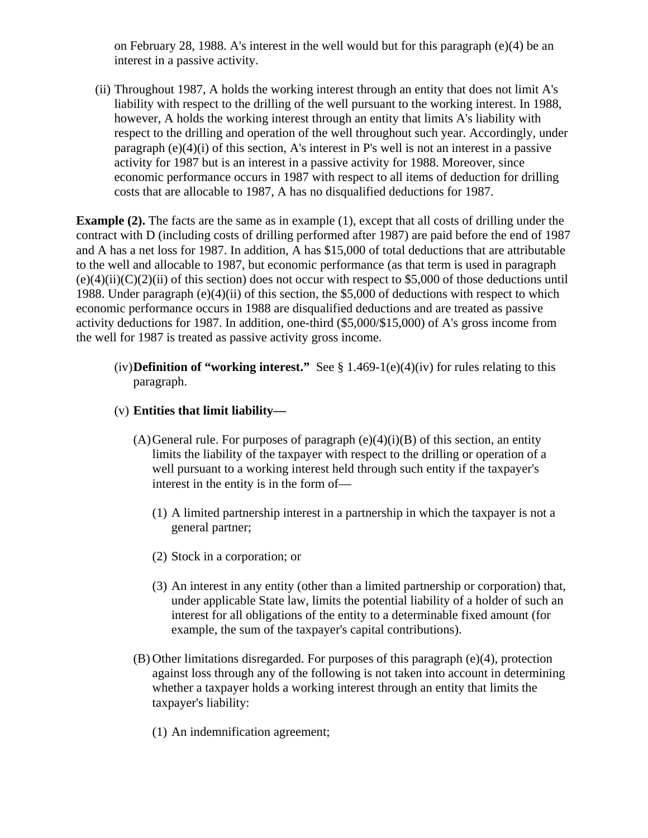on February 28, 1988. A's interest in the well would but for this paragraph (e)(4) be an interest in a passive activity.

(ii) Throughout 1987, A holds the working interest through an entity that does not limit A's liability with respect to the drilling of the well pursuant to the working interest. In 1988, however, A holds the working interest through an entity that limits A's liability with respect to the drilling and operation of the well throughout such year. Accordingly, under paragraph  $(e)(4)(i)$  of this section, A's interest in P's well is not an interest in a passive activity for 1987 but is an interest in a passive activity for 1988. Moreover, since economic performance occurs in 1987 with respect to all items of deduction for drilling costs that are allocable to 1987, A has no disqualified deductions for 1987.

**Example (2).** The facts are the same as in example (1), except that all costs of drilling under the contract with D (including costs of drilling performed after 1987) are paid before the end of 1987 and A has a net loss for 1987. In addition, A has \$15,000 of total deductions that are attributable to the well and allocable to 1987, but economic performance (as that term is used in paragraph  $(e)(4)(ii)(C)(2)(ii)$  of this section) does not occur with respect to \$5,000 of those deductions until 1988. Under paragraph (e)(4)(ii) of this section, the \$5,000 of deductions with respect to which economic performance occurs in 1988 are disqualified deductions and are treated as passive activity deductions for 1987. In addition, one-third (\$5,000/\$15,000) of A's gross income from the well for 1987 is treated as passive activity gross income.

- (iv)**Definition of "working interest."** See § 1.469-1(e)(4)(iv) for rules relating to this paragraph.
- (v) **Entities that limit liability—**
	- $(A)$  General rule. For purposes of paragraph  $(e)(4)(i)(B)$  of this section, an entity limits the liability of the taxpayer with respect to the drilling or operation of a well pursuant to a working interest held through such entity if the taxpayer's interest in the entity is in the form of—
		- (1) A limited partnership interest in a partnership in which the taxpayer is not a general partner;
		- (2) Stock in a corporation; or
		- (3) An interest in any entity (other than a limited partnership or corporation) that, under applicable State law, limits the potential liability of a holder of such an interest for all obligations of the entity to a determinable fixed amount (for example, the sum of the taxpayer's capital contributions).
	- (B) Other limitations disregarded. For purposes of this paragraph (e)(4), protection against loss through any of the following is not taken into account in determining whether a taxpayer holds a working interest through an entity that limits the taxpayer's liability:
		- (1) An indemnification agreement;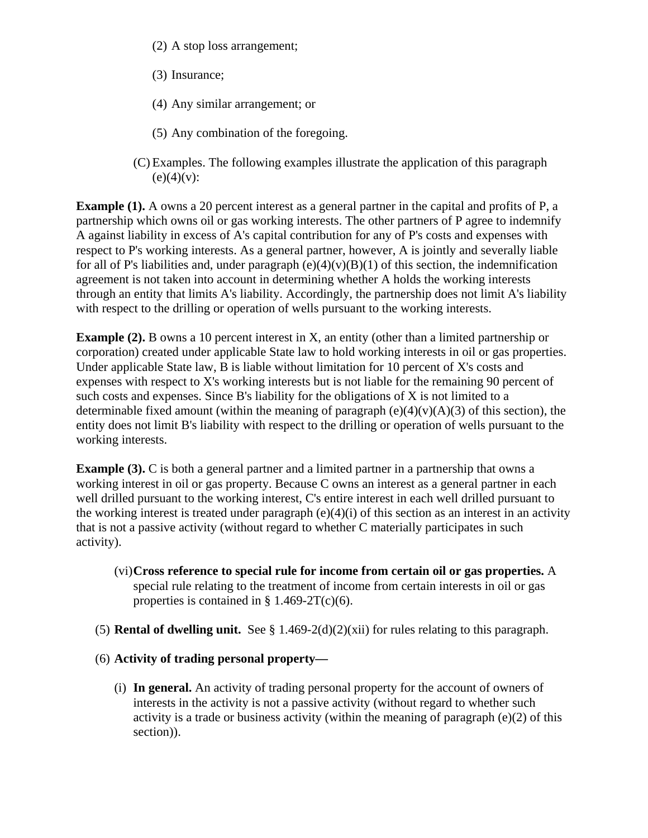- (2) A stop loss arrangement;
- (3) Insurance;
- (4) Any similar arrangement; or
- (5) Any combination of the foregoing.
- (C) Examples. The following examples illustrate the application of this paragraph  $(e)(4)(v)$ :

**Example (1).** A owns a 20 percent interest as a general partner in the capital and profits of P, a partnership which owns oil or gas working interests. The other partners of P agree to indemnify A against liability in excess of A's capital contribution for any of P's costs and expenses with respect to P's working interests. As a general partner, however, A is jointly and severally liable for all of P's liabilities and, under paragraph  $(e)(4)(v)(B)(1)$  of this section, the indemnification agreement is not taken into account in determining whether A holds the working interests through an entity that limits A's liability. Accordingly, the partnership does not limit A's liability with respect to the drilling or operation of wells pursuant to the working interests.

**Example (2).** B owns a 10 percent interest in X, an entity (other than a limited partnership or corporation) created under applicable State law to hold working interests in oil or gas properties. Under applicable State law, B is liable without limitation for 10 percent of X's costs and expenses with respect to X's working interests but is not liable for the remaining 90 percent of such costs and expenses. Since B's liability for the obligations of X is not limited to a determinable fixed amount (within the meaning of paragraph  $(e)(4)(v)(A)(3)$  of this section), the entity does not limit B's liability with respect to the drilling or operation of wells pursuant to the working interests.

**Example (3).** C is both a general partner and a limited partner in a partnership that owns a working interest in oil or gas property. Because C owns an interest as a general partner in each well drilled pursuant to the working interest, C's entire interest in each well drilled pursuant to the working interest is treated under paragraph  $(e)(4)(i)$  of this section as an interest in an activity that is not a passive activity (without regard to whether C materially participates in such activity).

- (vi)**Cross reference to special rule for income from certain oil or gas properties.** A special rule relating to the treatment of income from certain interests in oil or gas properties is contained in  $§$  1.469-2T(c)(6).
- (5) **Rental of dwelling unit.** See § 1.469-2(d)(2)(xii) for rules relating to this paragraph.
- (6) **Activity of trading personal property—**
	- (i) **In general.** An activity of trading personal property for the account of owners of interests in the activity is not a passive activity (without regard to whether such activity is a trade or business activity (within the meaning of paragraph (e)(2) of this section)).